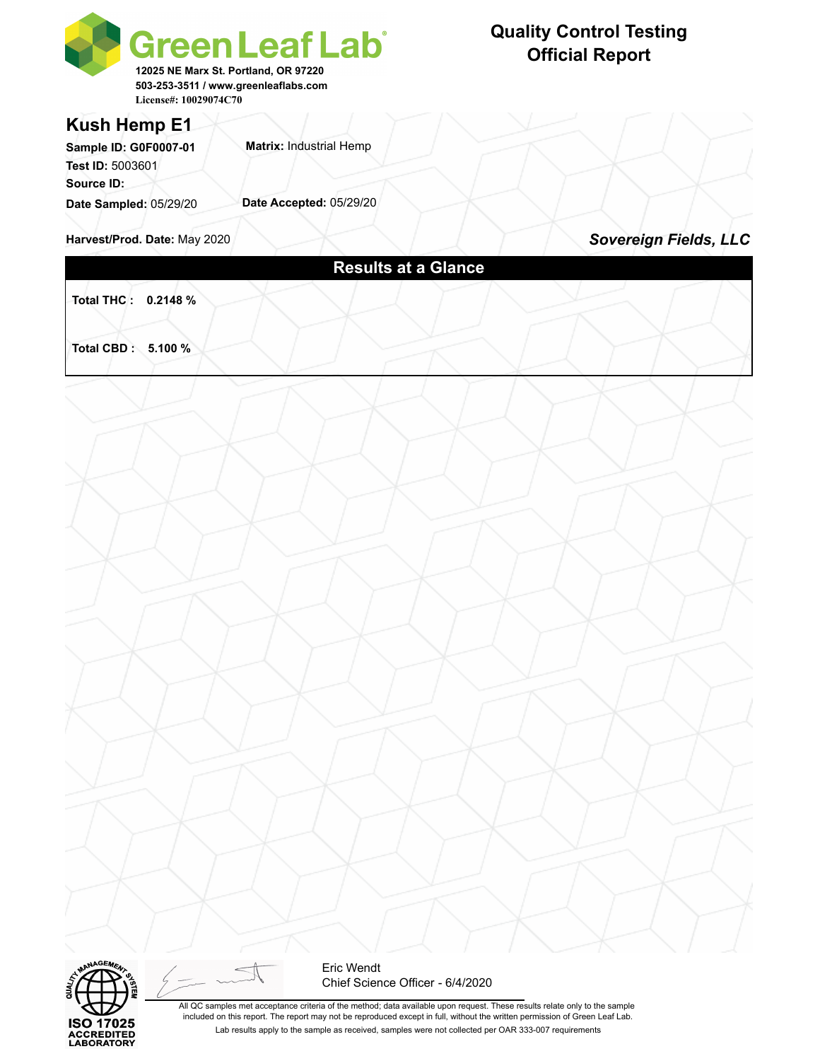

## **Quality Control Testing Official Report**

#### **Kush Hemp E1**

**Matrix:** Industrial Hemp **Date Accepted:** 05/29/20 **Sample ID: G0F0007-01 Test ID:** 5003601 **Source ID: Date Sampled:** 05/29/20

**Harvest/Prod. Date: May 2020 <b>Sovereign Fields, LLC** 

## **Results at a Glance**

**Total THC : 0.2148 %** 

**Total CBD : 5.100 %** 





Eric Wendt Chief Science Officer - 6/4/2020

All QC samples met acceptance criteria of the method; data available upon request. These results relate only to the sample included on this report. The report may not be reproduced except in full, without the written permission of Green Leaf Lab. Lab results apply to the sample as received, samples were not collected per OAR 333-007 requirements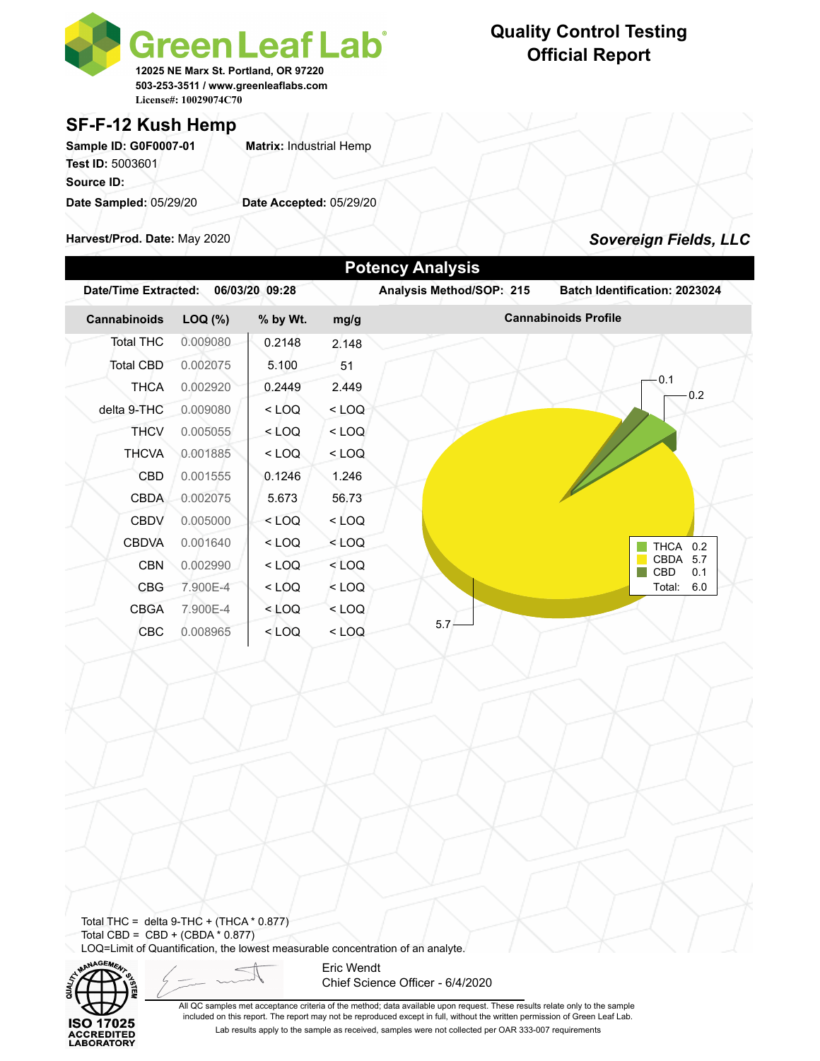

### **SF-F-12 Kush Hemp**

Sample ID: G0F0007-01 **Matrix:** Industrial Hemp **Test ID:** 5003601 **Source ID: Date Sampled:** 05/29/20 **Date Accepted:** 05/29/20

**Harvest/Prod. Date:** May 2020

# **Quality Control Testing Official Report**

*Sovereign Fields, LLC*

| <b>Date/Time Extracted:</b> |          | 06/03/20 09:28 |         | Analysis Method/SOP: 215 | Batch Identification: 2023024 |
|-----------------------------|----------|----------------|---------|--------------------------|-------------------------------|
| Cannabinoids                | LOQ (%)  | % by Wt.       | mg/g    |                          | <b>Cannabinoids Profile</b>   |
| <b>Total THC</b>            | 0.009080 | 0.2148         | 2.148   |                          |                               |
| Total CBD                   | 0.002075 | 5.100          | 51      |                          |                               |
| <b>THCA</b>                 | 0.002920 | 0.2449         | 2.449   |                          | 0.1<br>0.2                    |
| delta 9-THC                 | 0.009080 | $<$ LOQ        | $<$ LOQ |                          |                               |
| <b>THCV</b>                 | 0.005055 | $<$ LOQ        | $<$ LOQ |                          |                               |
| <b>THCVA</b>                | 0.001885 | $<$ LOQ        | $<$ LOQ |                          |                               |
| <b>CBD</b>                  | 0.001555 | 0.1246         | 1.246   |                          |                               |
| <b>CBDA</b>                 | 0.002075 | 5.673          | 56.73   |                          |                               |
| <b>CBDV</b>                 | 0.005000 | $<$ LOQ        | $<$ LOQ |                          |                               |
| <b>CBDVA</b>                | 0.001640 | $<$ LOQ        | $<$ LOQ |                          | <b>THCA</b><br>0.2            |
| <b>CBN</b>                  | 0.002990 | $<$ LOQ        | $<$ LOQ |                          | CBDA 5.7<br>CBD<br>0.1        |
| <b>CBG</b>                  | 7.900E-4 | $<$ LOQ        | $<$ LOQ |                          | Total:<br>6.0                 |
| <b>CBGA</b>                 | 7.900E-4 | $<$ LOQ        | $<$ LOQ |                          |                               |
| <b>CBC</b>                  | 0.008965 | $<$ LOQ        | $<$ LOQ | $5.7 -$                  |                               |

Total THC = delta  $9$ -THC + (THCA  $*$  0.877) Total CBD =  $CBD + (CBDA * 0.877)$ LOQ=Limit of Quantification, the lowest measurable concentration of an analyte.



Eric Wendt Chief Science Officer - 6/4/2020

All QC samples met acceptance criteria of the method; data available upon request. These results relate only to the sample included on this report. The report may not be reproduced except in full, without the written permission of Green Leaf Lab. Lab results apply to the sample as received, samples were not collected per OAR 333-007 requirements